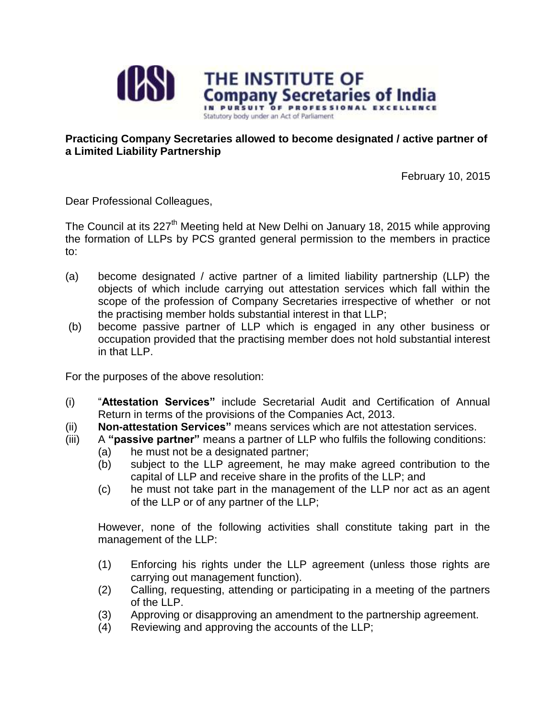

## **Practicing Company Secretaries allowed to become designated / active partner of a Limited Liability Partnership**

February 10, 2015

Dear Professional Colleagues,

The Council at its 227<sup>th</sup> Meeting held at New Delhi on January 18, 2015 while approving the formation of LLPs by PCS granted general permission to the members in practice to:

- (a) become designated / active partner of a limited liability partnership (LLP) the objects of which include carrying out attestation services which fall within the scope of the profession of Company Secretaries irrespective of whether or not the practising member holds substantial interest in that LLP;
- (b) become passive partner of LLP which is engaged in any other business or occupation provided that the practising member does not hold substantial interest in that LLP.

For the purposes of the above resolution:

- (i) "**Attestation Services"** include Secretarial Audit and Certification of Annual Return in terms of the provisions of the Companies Act, 2013.
- (ii) **Non-attestation Services"** means services which are not attestation services.
- (iii) A **"passive partner"** means a partner of LLP who fulfils the following conditions:
	- (a) he must not be a designated partner;
	- (b) subject to the LLP agreement, he may make agreed contribution to the capital of LLP and receive share in the profits of the LLP; and
	- (c) he must not take part in the management of the LLP nor act as an agent of the LLP or of any partner of the LLP;

However, none of the following activities shall constitute taking part in the management of the LLP:

- (1) Enforcing his rights under the LLP agreement (unless those rights are carrying out management function).
- (2) Calling, requesting, attending or participating in a meeting of the partners of the LLP.
- (3) Approving or disapproving an amendment to the partnership agreement.
- (4) Reviewing and approving the accounts of the LLP;